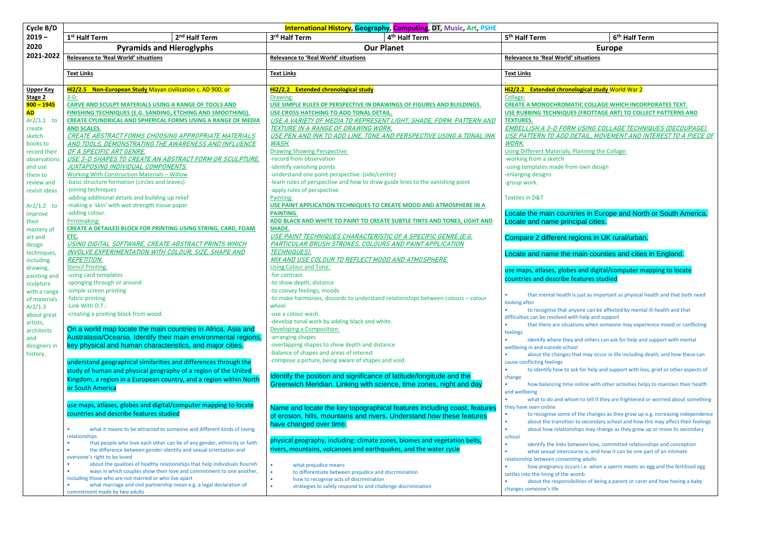| 6 <sup>th</sup> Half Term |  |  |
|---------------------------|--|--|
|---------------------------|--|--|

**EMBELLISH A 3-D FORM USING COLLAGE TECHNIQUES (DECOUPAGE). USE AND INTEREST TO A PIECE OF** 

Planning the Collage:

ries in Europe and North or South America. cipal cities.

egions in UK rural/urban.

main counties and cities in England.

is and digital/computer mapping to locate eatures studied

is just as important as physical health and that both need

hyone can be affected by mental ill-health and that ith help and support

tions when someone may experience mixed or conflicting

 $\mu$  and others can ask for help and support with mental

that may occur in life including death, and how these can

ask for help and support with loss, grief or other aspects of

e online with other activities helps to maintain their health

om to tell if they are frightened or worried about something

of the changes as they grow up e.g. increasing independence If to secondary school and how this may affect their feelings ships may change as they grow up or move to secondary

tween love, committed relationships and conception ourse is, and how it can be one part of an intimate ting adults

turs i.e. when a sperm meets an egg and the fertilised egg vomb

bilities of being a parent or carer and how having a baby

| Cycle B/D                    | <b>International History, Geography, Computing, DT, Music, Art, PSHE</b>   |                                                                                                                                                     |                                                                                                                   |                                                                                              |  |
|------------------------------|----------------------------------------------------------------------------|-----------------------------------------------------------------------------------------------------------------------------------------------------|-------------------------------------------------------------------------------------------------------------------|----------------------------------------------------------------------------------------------|--|
| $2019 -$                     | 1 <sup>st</sup> Half Term                                                  | 2 <sup>nd</sup> Half Term                                                                                                                           | 3rd Half Term<br>4 <sup>th</sup> Half Term                                                                        | 6 <sup>th</sup><br>5 <sup>th</sup> Half Term                                                 |  |
| 2020                         | <b>Pyramids and Hieroglyphs</b>                                            |                                                                                                                                                     | <b>Our Planet</b>                                                                                                 | <b>Europe</b>                                                                                |  |
| 2021-2022                    | <b>Relevance to 'Real World' situations</b>                                |                                                                                                                                                     | <b>Relevance to 'Real World' situations</b>                                                                       | <b>Relevance to 'Real World' situations</b>                                                  |  |
|                              | <b>Text Links</b>                                                          |                                                                                                                                                     | <b>Text Links</b>                                                                                                 | <b>Text Links</b>                                                                            |  |
| <b>Upper Key</b>             | Hi2/2.5 Non-European Study Mayan civilization c. AD 900; or                |                                                                                                                                                     | Hi2/2.2 Extended chronological study                                                                              | Hi2/2.2 Extended chronological study Worl                                                    |  |
| Stage 2                      | $3-D$ :                                                                    |                                                                                                                                                     | Drawing:                                                                                                          | Collage:                                                                                     |  |
| $900 - 1945$                 | CARVE AND SCULPT MATERIALS USING A RANGE OF TOOLS AND                      |                                                                                                                                                     | USE SIMPLE RULES OF PERSPECTIVE IN DRAWINGS OF FIGURES AND BUILDINGS.                                             | <b>CREATE A MONOCHROMATIC COLLAGE WHI</b>                                                    |  |
| <b>AD</b>                    | FINISHING TECHNIQUES (E.G. SANDING, ETCHING AND SMOOTHING).                |                                                                                                                                                     | USE CROSS HATCHING TO ADD TONAL DETAIL.                                                                           | <b>USE RUBBING TECHNIQUES (FROTTAGE ART)</b>                                                 |  |
| $Ar2/1.1$ to                 | <b>CREATE CYLINDRICAL AND SPHERICAL FORMS USING A RANGE OF MEDIA</b>       |                                                                                                                                                     | USE A VARIETY OF MEDIA TO REPRESENT LIGHT, SHADE, FORM, PATTERN AND                                               | <b>TEXTURES.</b>                                                                             |  |
| create<br>sketch             | <b>AND SCALES.</b><br>CREATE ABSTRACT FORMS CHOOSING APPROPRIATE MATERIALS |                                                                                                                                                     | <b>TEXTURE IN A RANGE OF DRAWING WORK.</b><br>USE PEN AND INK TO ADD LINE, TONE AND PERSPECTIVE USING A TONAL INK | EMBELLISH A 3-D FORM USING COLLAGI<br>USE PATTERN TO ADD DETAIL, MOVEMEN                     |  |
| books to                     | AND TOOLS, DEMONSTRATING THE AWARENESS AND INFLUENCE                       |                                                                                                                                                     | <b>WASH.</b>                                                                                                      | <b>WORK.</b>                                                                                 |  |
| record their                 | OF A SPECIFIC ART GENRE.                                                   |                                                                                                                                                     | <b>Drawing Showing Perspective:</b>                                                                               | Using Different Materials, Planning the Collag                                               |  |
| observations                 | USE 3-D SHAPES TO CREATE AN ABSTRACT FORM OR SCULPTURE,                    |                                                                                                                                                     | -record from observation                                                                                          | -working from a sketch                                                                       |  |
| and use                      | JUXTAPOSING INDIVIDUAL COMPONENTS.                                         |                                                                                                                                                     | -identify vanishing points                                                                                        | -using templates made from own design                                                        |  |
| them to                      | <b>Working With Construction Materials - Willow</b>                        |                                                                                                                                                     | -understand one point perspective (side/centre)                                                                   | -enlarging designs                                                                           |  |
| review and                   | -basic structure formation (circles and leaves)                            |                                                                                                                                                     | -learn rules of perspective and how to draw guide lines to the vanishing point                                    | -group work.                                                                                 |  |
| revisit ideas                | -joining techniques                                                        |                                                                                                                                                     | -apply rules of perspective.                                                                                      |                                                                                              |  |
|                              | -adding additional details and building up relief                          |                                                                                                                                                     | Painting:                                                                                                         | <b>Textiles in D&amp;T</b>                                                                   |  |
| $Ar2/1.2$ to                 | -making a 'skin' with wet strength tissue paper<br>-adding colour.         |                                                                                                                                                     | USE PAINT APPLICATION TECHNIQUES TO CREATE MOOD AND ATMOSPHERE IN A<br><b>PAINTING.</b>                           | Locate the main countries in Europe a                                                        |  |
| improve<br>their             | Printmaking:                                                               |                                                                                                                                                     | ADD BLACK AND WHITE TO PAINT TO CREATE SUBTLE TINTS AND TONES, LIGHT AND                                          | Locate and name principal cities.                                                            |  |
| mastery of                   | CREATE A DETAILED BLOCK FOR PRINTING USING STRING, CARD, FOAM              |                                                                                                                                                     | <b>SHADE.</b>                                                                                                     |                                                                                              |  |
| art and                      | ETC.                                                                       |                                                                                                                                                     | USE PAINT TECHNIQUES CHARACTERISTIC OF A SPECIFIC GENRE (E.G.                                                     | Compare 2 different regions in UK rura                                                       |  |
| design                       | USING DIGITAL SOFTWARE, CREATE ABSTRACT PRINTS WHICH                       |                                                                                                                                                     | <u>PARTICULAR BRUSH STROKES, COLOURS AND PAINT APPLICATION</u>                                                    |                                                                                              |  |
| techniques,                  | INVOLVE EXPERIMENTATION WITH COLOUR, SIZE, SHAPE AND                       |                                                                                                                                                     | <b>TECHNIQUES).</b>                                                                                               | Locate and name the main counties a                                                          |  |
| including                    | <b>REPETITION.</b>                                                         |                                                                                                                                                     | <u>MIX AND USE COLOUR TO REFLECT MOOD AND ATMOSPHERE.</u>                                                         |                                                                                              |  |
| drawing,                     | <b>Stencil Printing:</b>                                                   |                                                                                                                                                     | <b>Using Colour and Tone:</b>                                                                                     | use maps, atlases, globes and digital/com                                                    |  |
| painting and                 | -using card templates                                                      |                                                                                                                                                     | -for contrast                                                                                                     | countries and describe features studied                                                      |  |
| sculpture                    | -sponging through or around<br>-simple screen printing                     |                                                                                                                                                     | -to show depth, distance<br>to convey feelings, moods                                                             |                                                                                              |  |
| with a range<br>of materials | -fabric printing.                                                          |                                                                                                                                                     | -to make harmonies, discords to understand relationships between colours - colour                                 | that mental health is just as important as                                                   |  |
| Ar2/1.3                      | -Link With D.T.:                                                           |                                                                                                                                                     | wheel                                                                                                             | looking after                                                                                |  |
| about great                  | -creating a printing block from wood.                                      |                                                                                                                                                     | -use a colour wash.                                                                                               | to recognise that anyone can be affected                                                     |  |
| artists,                     |                                                                            |                                                                                                                                                     | -develop tonal work by adding black and white.                                                                    | difficulties can be resolved with help and support<br>that there are situations when someone |  |
| architects                   | On a world map locate the main countries in Africa, Asia and               |                                                                                                                                                     | Developing a Composition:                                                                                         | feelings                                                                                     |  |
| and                          | Australasia/Oceania. Identify their main environmental regions,            |                                                                                                                                                     | -arranging shapes                                                                                                 | identify where they and others can ask fo                                                    |  |
| designers in                 | key physical and human characteristics, and major cities.                  |                                                                                                                                                     | -overlapping shapes to show depth and distance                                                                    | wellbeing in and outside school                                                              |  |
| history.                     |                                                                            |                                                                                                                                                     | -balance of shapes and areas of interest                                                                          | about the changes that may occur in life                                                     |  |
|                              | understand geographical similarities and differences through the           |                                                                                                                                                     | compose a picture, being aware of shapes and void.                                                                | cause conflicting feelings                                                                   |  |
|                              | study of human and physical geography of a region of the United            |                                                                                                                                                     | Identify the position and significance of latitude/longitude and the                                              | to identify how to ask for help and suppo                                                    |  |
|                              | Kingdom, a region in a European country, and a region within North         |                                                                                                                                                     | Greenwich Meridian. Linking with science, time zones, night and day                                               | change<br>how balancing time online with other act                                           |  |
|                              | or South America                                                           |                                                                                                                                                     |                                                                                                                   | and wellbeing                                                                                |  |
|                              |                                                                            |                                                                                                                                                     |                                                                                                                   | what to do and whom to tell if they are f                                                    |  |
|                              | use maps, atlases, globes and digital/computer mapping to locate           |                                                                                                                                                     | Name and locate the key topographical features including coast, features                                          | they have seen online                                                                        |  |
|                              | countries and describe features studied                                    |                                                                                                                                                     | of erosion, hills, mountains and rivers. Understand how these features                                            | to recognise some of the changes as they<br>$\bullet$                                        |  |
|                              |                                                                            |                                                                                                                                                     | have changed over time.                                                                                           | about the transition to secondary school<br>$\bullet$                                        |  |
|                              | relationships                                                              | what it means to be attracted to someone and different kinds of loving                                                                              |                                                                                                                   | about how relationships may change as t<br>school                                            |  |
|                              |                                                                            | that people who love each other can be of any gender, ethnicity or faith                                                                            | physical geography, including: climate zones, biomes and vegetation belts,                                        | identify the links between love, committ<br>$\bullet$                                        |  |
|                              | the difference between gender identity and sexual orientation and          |                                                                                                                                                     | rivers, mountains, volcanoes and earthquakes, and the water cycle                                                 | what sexual intercourse is, and how it ca<br>$\bullet$                                       |  |
|                              | everyone's right to be loved                                               |                                                                                                                                                     |                                                                                                                   | relationship between consenting adults                                                       |  |
|                              |                                                                            | about the qualities of healthy relationships that help individuals flourish<br>ways in which couples show their love and commitment to one another, | what prejudice means                                                                                              | how pregnancy occurs i.e. when a sperm                                                       |  |
|                              | including those who are not married or who live apart                      |                                                                                                                                                     | to differentiate between prejudice and discrimination<br>how to recognise acts of discrimination<br>$\bullet$     | settles into the lining of the womb                                                          |  |
|                              | what marriage and civil partnership mean e.g. a legal declaration of       |                                                                                                                                                     | strategies to safely respond to and challenge discrimination                                                      | about the responsibilities of being a pare                                                   |  |
|                              | commitment made by two adults                                              |                                                                                                                                                     |                                                                                                                   | changes someone's life                                                                       |  |

## **Hi2/2.2 Extended chronological study** World War 2

**ATIC COLLAGE WHICH INCORPORATES TEXT. ES (FROTTAGE ART) TO COLLECT PATTERNS AND**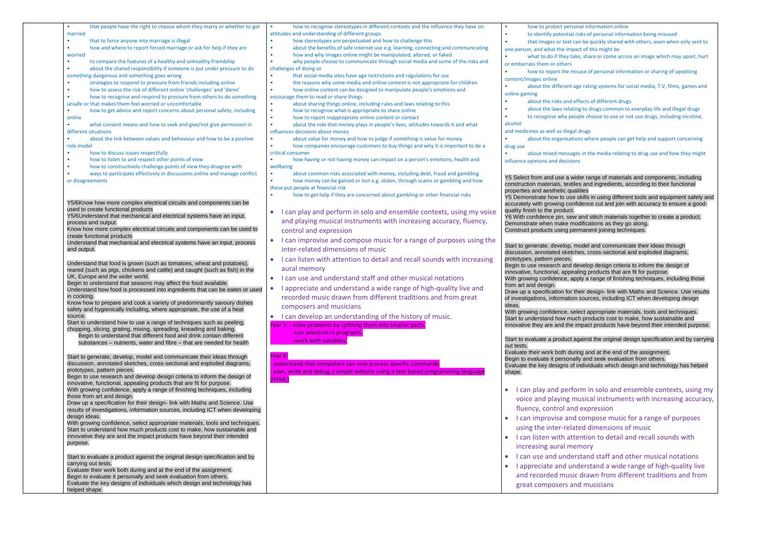| that people have the right to choose whom they marry or whether to get                              | how to recognise stereotypes in different contexts and the influence they have on            | how to protect personal information online                                                 |
|-----------------------------------------------------------------------------------------------------|----------------------------------------------------------------------------------------------|--------------------------------------------------------------------------------------------|
| married                                                                                             | attitudes and understanding of different groups                                              | to identify potential risks of personal information being misused<br>$\bullet$             |
| that to force anyone into marriage is illegal<br>$\bullet$                                          | how stereotypes are perpetuated and how to challenge this                                    | that images or text can be quickly shared with others, even when only sent to<br>$\bullet$ |
| how and where to report forced marriage or ask for help if they are<br>$\bullet$                    | about the benefits of safe internet use e.g. learning, connecting and communicating          | one person, and what the impact of this might be                                           |
| worried                                                                                             | how and why images online might be manipulated, altered, or faked                            | what to do if they take, share or come across an image which may upset, hurt               |
| to compare the features of a healthy and unhealthy friendship<br>$\bullet$                          | why people choose to communicate through social media and some of the risks and<br>$\bullet$ | or embarrass them or others                                                                |
| about the shared responsibility if someone is put under pressure to do<br>$\bullet$                 | challenges of doing so                                                                       |                                                                                            |
| something dangerous and something goes wrong                                                        | that social media sites have age restrictions and regulations for use                        | how to report the misuse of personal information or sharing of upsetting                   |
| strategies to respond to pressure from friends including online<br>$\bullet$                        | the reasons why some media and online content is not appropriate for children                | content/images online                                                                      |
| how to assess the risk of different online 'challenges' and 'dares'<br>$\bullet$                    | how online content can be designed to manipulate people's emotions and<br>۰                  | about the different age rating systems for social media, T.V, films, games and             |
| how to recognise and respond to pressure from others to do something                                | encourage them to read or share things                                                       | online gaming                                                                              |
|                                                                                                     |                                                                                              | about the risks and effects of different drugs                                             |
| unsafe or that makes them feel worried or uncomfortable                                             | about sharing things online, including rules and laws relating to this                       | about the laws relating to drugs common to everyday life and illegal drugs<br>۰            |
| how to get advice and report concerns about personal safety, including<br>$\bullet$                 | how to recognise what is appropriate to share online                                         |                                                                                            |
| online                                                                                              | how to report inappropriate online content or contact<br>$\bullet$                           | to recognise why people choose to use or not use drugs, including nicotine,<br>$\bullet$   |
| what consent means and how to seek and give/not give permission in<br>$\bullet$                     | about the role that money plays in people's lives, attitudes towards it and what             | alcohol                                                                                    |
| different situations                                                                                | influences decisions about money                                                             | and medicines as well as illegal drugs                                                     |
| about the link between values and behaviour and how to be a positive                                | about value for money and how to judge if something is value for money                       | about the organisations where people can get help and support concerning                   |
| role model                                                                                          | how companies encourage customers to buy things and why it is important to be a              | drug use                                                                                   |
| how to discuss issues respectfully                                                                  | critical consumer                                                                            | about mixed messages in the media relating to drug use and how they might<br>$\bullet$     |
| how to listen to and respect other points of view<br>$\bullet$                                      | how having or not having money can impact on a person's emotions, health and                 | influence opinions and decisions                                                           |
| how to constructively challenge points of view they disagree with<br>$\bullet$                      | wellbeing                                                                                    |                                                                                            |
| ways to participate effectively in discussions online and manage conflict                           | about common risks associated with money, including debt, fraud and gambling                 |                                                                                            |
| or disagreements                                                                                    | how money can be gained or lost e.g. stolen, through scams or gambling and how               | Y5 Select from and use a wider range of materials and components, including                |
|                                                                                                     |                                                                                              | construction materials, textiles and ingredients, according to their functional            |
|                                                                                                     | these put people at financial risk                                                           | properties and aesthetic qualities                                                         |
|                                                                                                     | how to get help if they are concerned about gambling or other financial risks                | Y5 Demonstrate how to use skills in using different tools and equipment safely and         |
| Y5/6Know how more complex electrical circuits and components can be                                 |                                                                                              | accurately with growing confidence cut and join with accuracy to ensure a good-            |
| used to create functional products                                                                  | I can play and perform in solo and ensemble contexts, using my voice                         | quality finish to the product.                                                             |
| Y5/6Understand that mechanical and electrical systems have an input,                                |                                                                                              | Y6 With confidence pin, sew and stitch materials together to create a product.             |
| process and output.                                                                                 | and playing musical instruments with increasing accuracy, fluency,                           | Demonstrate when make modifications as they go along.                                      |
| Know how more complex electrical circuits and components can be used to                             | control and expression                                                                       | Construct products using permanent joining techniques.                                     |
| create functional products                                                                          |                                                                                              |                                                                                            |
| Understand that mechanical and electrical systems have an input, process                            | I can improvise and compose music for a range of purposes using the                          |                                                                                            |
| and output.                                                                                         | inter-related dimensions of music                                                            | Start to generate, develop, model and communicate their ideas through                      |
|                                                                                                     |                                                                                              | discussion, annotated sketches, cross-sectional and exploded diagrams,                     |
| Understand that food is grown (such as tomatoes, wheat and potatoes),                               | I can listen with attention to detail and recall sounds with increasing<br>$\bullet$         | prototypes, pattern pieces.                                                                |
| reared (such as pigs, chickens and cattle) and caught (such as fish) in the                         | aural memory                                                                                 | Begin to use research and develop design criteria to inform the design of                  |
| UK, Europe and the wider world.                                                                     | I can use and understand staff and other musical notations<br>$\bullet$                      | innovative, functional, appealing products that are fit for purpose.                       |
| Begin to understand that seasons may affect the food available.                                     |                                                                                              | With growing confidence, apply a range of finishing techniques, including those            |
| Understand how food is processed into ingredients that can be eaten or used                         | I appreciate and understand a wide range of high-quality live and                            | from art and design.                                                                       |
| in cooking.                                                                                         | recorded music drawn from different traditions and from great                                | Draw up a specification for their design- link with Maths and Science. Use results         |
| Know how to prepare and cook a variety of predominantly savoury dishes                              |                                                                                              | of investigations, information sources, including ICT when developing design               |
| safely and hygienically including, where appropriate, the use of a heat                             | composers and musicians                                                                      | ideas.                                                                                     |
| source.                                                                                             | I can develop an understanding of the history of music.<br>$\bullet$                         | With growing confidence, select appropriate materials, tools and techniques.               |
| Start to understand how to use a range of techniques such as peeling,                               |                                                                                              | Start to understand how much products cost to make, how sustainable and                    |
| chopping, slicing, grating, mixing, spreading, kneading and baking.                                 | Year 5: - solve problems by splitting them into smaller parts.                               | innovative they are and the impact products have beyond their intended purpose.            |
| Begin to understand that different food and drink contain different                                 | -use selection in programs.                                                                  |                                                                                            |
|                                                                                                     | -work with variables.                                                                        | Start to evaluate a product against the original design specification and by carrying      |
| substances - nutrients, water and fibre - that are needed for health                                |                                                                                              | out tests.                                                                                 |
|                                                                                                     |                                                                                              | Evaluate their work both during and at the end of the assignment.                          |
| Start to generate, develop, model and communicate their ideas through                               | Year 6:                                                                                      | Begin to evaluate it personally and seek evaluation from others.                           |
| discussion, annotated sketches, cross-sectional and exploded diagrams,                              | understand that computers can only process specific commands                                 | Evaluate the key designs of individuals which design and technology has helped             |
| prototypes, pattern pieces.                                                                         | plan, write and debug a simple website using a text-based programming language               | shape.                                                                                     |
| Begin to use research and develop design criteria to inform the design of                           | (HTML)                                                                                       |                                                                                            |
| innovative, functional, appealing products that are fit for purpose.                                |                                                                                              |                                                                                            |
| With growing confidence, apply a range of finishing techniques, including                           |                                                                                              | I can play and perform in solo and ensemble contexts, using my<br>$\bullet$                |
| those from art and design.                                                                          |                                                                                              |                                                                                            |
| Draw up a specification for their design- link with Maths and Science. Use                          |                                                                                              | voice and playing musical instruments with increasing accuracy,                            |
| results of investigations, information sources, including ICT when developing                       |                                                                                              | fluency, control and expression                                                            |
| design ideas.                                                                                       |                                                                                              |                                                                                            |
| With growing confidence, select appropriate materials, tools and techniques.                        |                                                                                              | I can improvise and compose music for a range of purposes                                  |
| Start to understand how much products cost to make, how sustainable and                             |                                                                                              | using the inter-related dimensions of music                                                |
| innovative they are and the impact products have beyond their intended                              |                                                                                              |                                                                                            |
|                                                                                                     |                                                                                              | I can listen with attention to detail and recall sounds with                               |
|                                                                                                     |                                                                                              |                                                                                            |
| purpose.                                                                                            |                                                                                              |                                                                                            |
|                                                                                                     |                                                                                              | increasing aural memory                                                                    |
|                                                                                                     |                                                                                              | I can use and understand staff and other musical notations                                 |
| Start to evaluate a product against the original design specification and by<br>carrying out tests. |                                                                                              | $\bullet$                                                                                  |
| Evaluate their work both during and at the end of the assignment.                                   |                                                                                              | I appreciate and understand a wide range of high-quality live                              |
| Begin to evaluate it personally and seek evaluation from others.                                    |                                                                                              | and recorded music drawn from different traditions and from                                |
| Evaluate the key designs of individuals which design and technology has<br>helped shape.            |                                                                                              | great composers and musicians                                                              |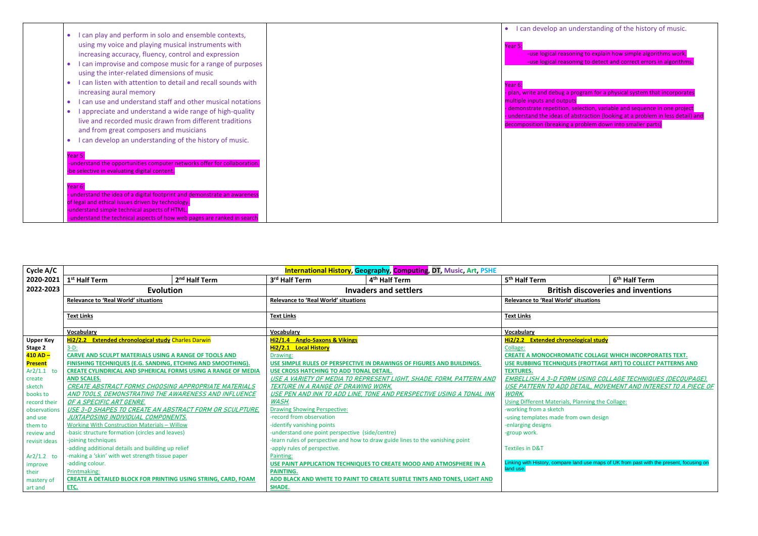|                                                                           | I can develop an un<br>$\bullet$ |
|---------------------------------------------------------------------------|----------------------------------|
| I can play and perform in solo and ensemble contexts,<br>$\bullet$        |                                  |
| using my voice and playing musical instruments with                       | Year 5                           |
| increasing accuracy, fluency, control and expression                      | -use logical reason              |
| I can improvise and compose music for a range of purposes                 | -use logical reason              |
| using the inter-related dimensions of music                               |                                  |
|                                                                           |                                  |
| I can listen with attention to detail and recall sounds with<br>$\bullet$ | Year 6:                          |
| increasing aural memory                                                   | - plan, write and debug a pr     |
| I can use and understand staff and other musical notations<br>$\bullet$   | multiple inputs and outputs      |
| I appreciate and understand a wide range of high-quality<br>$\bullet$     | demonstrate repetition, se       |
| live and recorded music drawn from different traditions                   | - understand the ideas of al     |
| and from great composers and musicians                                    | decomposition (breaking a        |
| can develop an understanding of the history of music.                     |                                  |
|                                                                           |                                  |
| Year 5:                                                                   |                                  |
| -understand the opportunities computer networks offer for collaboration.  |                                  |
| -be selective in evaluating digital content.                              |                                  |
|                                                                           |                                  |
| Year 6:                                                                   |                                  |
| understand the idea of a digital footprint and demonstrate an awareness   |                                  |
| of legal and ethical issues driven by technology.                         |                                  |
| -understand simple technical aspects of HTML.                             |                                  |
| -understand the technical aspects of how web pages are ranked in search   |                                  |

| I can develop an understanding of the history of music.                                                  |
|----------------------------------------------------------------------------------------------------------|
| Year 5:                                                                                                  |
| -use logical reasoning to explain how simple algorithms work.                                            |
| -use logical reasoning to detect and correct errors in algorithms.                                       |
|                                                                                                          |
| Year 6:                                                                                                  |
| - plan, write and debug a program for a physical system that incorporates<br>multiple inputs and outputs |
| - demonstrate repetition, selection, variable and sequence in one project                                |
| - understand the ideas of abstraction (looking at a problem in less detail) and                          |
| decomposition (breaking a problem down into smaller parts)                                               |
|                                                                                                          |
|                                                                                                          |
|                                                                                                          |
|                                                                                                          |
|                                                                                                          |
|                                                                                                          |
|                                                                                                          |
|                                                                                                          |
|                                                                                                          |
|                                                                                                          |
|                                                                                                          |
|                                                                                                          |
|                                                                                                          |

| Cycle A/C             | <b>International History, Geography, Computing, DT, Music, Art, PSHE</b> |                           |                                                 |                                                                                |                                                                          |                                           |
|-----------------------|--------------------------------------------------------------------------|---------------------------|-------------------------------------------------|--------------------------------------------------------------------------------|--------------------------------------------------------------------------|-------------------------------------------|
| 2020-2021             | 1 <sup>st</sup> Half Term                                                | 2 <sup>nd</sup> Half Term | 3rd Half Term                                   | 4 <sup>th</sup> Half Term                                                      | 5 <sup>th</sup> Half Term                                                | 6 <sup>th</sup> Half Term                 |
| 2022-2023             | <b>Evolution</b>                                                         |                           |                                                 | Invaders and settlers                                                          |                                                                          | <b>British discoveries and inventions</b> |
|                       | <b>Relevance to 'Real World' situations</b>                              |                           | <b>Relevance to 'Real World' situations</b>     |                                                                                | <b>Relevance to 'Real World' situations</b>                              |                                           |
|                       | <b>Text Links</b>                                                        |                           | <b>Text Links</b>                               |                                                                                | <b>Text Links</b>                                                        |                                           |
|                       | Vocabulary                                                               |                           | Vocabulary                                      |                                                                                | Vocabulary                                                               |                                           |
| <b>Upper Key</b>      | <b>Hi2/2.2</b> Extended chronological study Charles Darwin               |                           | Hi2/1.4 Anglo-Saxons & Vikings                  |                                                                                | Hi2/2.2 Extended chronological study                                     |                                           |
| Stage 2               | $3-D$ :                                                                  |                           | Hi2/2.1 Local History                           |                                                                                | Collage:                                                                 |                                           |
| <mark>410 AD –</mark> | <b>CARVE AND SCULPT MATERIALS USING A RANGE OF TOOLS AND</b>             |                           | Drawing:                                        |                                                                                | <b>CREATE A MONOCHROMATIC COLLAGE WHICH INCORPORATES</b>                 |                                           |
| <b>Present</b>        | FINISHING TECHNIQUES (E.G. SANDING, ETCHING AND SMOOTHING).              |                           |                                                 | USE SIMPLE RULES OF PERSPECTIVE IN DRAWINGS OF FIGURES AND BUILDINGS.          | USE RUBBING TECHNIQUES (FROTTAGE ART) TO COLLECT PATT                    |                                           |
| $Ar2/1.1$ to          | <b>CREATE CYLINDRICAL AND SPHERICAL FORMS USING A RANGE OF MEDIA</b>     |                           | USE CROSS HATCHING TO ADD TONAL DETAIL.         |                                                                                | <b>TEXTURES.</b>                                                         |                                           |
| create                | <b>AND SCALES.</b>                                                       |                           |                                                 | USE A VARIETY OF MEDIA TO REPRESENT LIGHT, SHADE, FORM, PATTERN AND            | <b>EMBELLISH A 3-D FORM USING COLLAGE TECHNIQUES (L</b>                  |                                           |
| sketch                | <b>CREATE ABSTRACT FORMS CHOOSING APPROPRIATE MATERIALS</b>              |                           | TEXTURE IN A RANGE OF DRAWING WORK.             |                                                                                | USE PATTERN TO ADD DETAIL, MOVEMENT AND INTEREST                         |                                           |
| books to              | AND TOOLS, DEMONSTRATING THE AWARENESS AND INFLUENCE                     |                           |                                                 | USE PEN AND INK TO ADD LINE, TONE AND PERSPECTIVE USING A TONAL INK            | WORK.                                                                    |                                           |
| record their          | OF A SPECIFIC ART GENRE.                                                 |                           | <b>WASH.</b>                                    |                                                                                | Using Different Materials, Planning the Collage:                         |                                           |
| observations          | USE 3-D SHAPES TO CREATE AN ABSTRACT FORM OR SCULPTURE,                  |                           | <b>Drawing Showing Perspective:</b>             |                                                                                | -working from a sketch                                                   |                                           |
| and use               | JUXTAPOS <u>ING INDIVIDUAL COMPONENTS.</u>                               |                           | -record from observation                        |                                                                                | -using templates made from own design                                    |                                           |
| them to               | <b>Working With Construction Materials - Willow</b>                      |                           | -identify vanishing points                      |                                                                                | -enlarging designs                                                       |                                           |
| review and            | -basic structure formation (circles and leaves)                          |                           | -understand one point perspective (side/centre) |                                                                                | -group work.                                                             |                                           |
| revisit ideas         | -joining techniques                                                      |                           |                                                 | -learn rules of perspective and how to draw guide lines to the vanishing point |                                                                          |                                           |
|                       | -adding additional details and building up relief                        |                           | -apply rules of perspective.                    |                                                                                | <b>Textiles in D&amp;T</b>                                               |                                           |
| $Ar2/1.2$ to          | -making a 'skin' with wet strength tissue paper                          |                           | Painting:                                       |                                                                                |                                                                          |                                           |
| improve               | -adding colour.                                                          |                           |                                                 | USE PAINT APPLICATION TECHNIQUES TO CREATE MOOD AND ATMOSPHERE IN A            | Linking with History, compare land use maps of UK from past with the pre |                                           |
| their                 | Printmaking:                                                             |                           | <b>PAINTING.</b>                                |                                                                                | land use.                                                                |                                           |
| mastery of            | <b>CREATE A DETAILED BLOCK FOR PRINTING USING STRING, CARD, FOAM</b>     |                           |                                                 | ADD BLACK AND WHITE TO PAINT TO CREATE SUBTLE TINTS AND TONES, LIGHT AND       |                                                                          |                                           |
| art and               | ETC.                                                                     |                           | <b>SHADE.</b>                                   |                                                                                |                                                                          |                                           |

| 5 <sup>th</sup> Half Term                                                                 | 6 <sup>th</sup> Half Term |  |
|-------------------------------------------------------------------------------------------|---------------------------|--|
| <b>British discoveries and inventions</b>                                                 |                           |  |
| <b>Relevance to 'Real World' situations</b>                                               |                           |  |
| <b>Text Links</b>                                                                         |                           |  |
| <b>Vocabulary</b>                                                                         |                           |  |
| <b>Hi2/2.2</b> Extended chronological study                                               |                           |  |
| Collage:                                                                                  |                           |  |
| <b>CREATE A MONOCHROMATIC COLLAGE WHICH INCORPORATES TEXT.</b>                            |                           |  |
| USE RUBBING TECHNIQUES (FROTTAGE ART) TO COLLECT PATTERNS AND                             |                           |  |
| <b>TEXTURES.</b>                                                                          |                           |  |
| <u>EMBELLISH A 3-D FORM USING COLLAGE TECHNIQUES (DECOUPAGE).</u>                         |                           |  |
| <u>USE PATTERN TO ADD DETAIL, MOVEMENT AND INTEREST TO A PIECE OF</u>                     |                           |  |
| WORK.                                                                                     |                           |  |
| Using Different Materials, Planning the Collage:                                          |                           |  |
| -working from a sketch                                                                    |                           |  |
| -using templates made from own design                                                     |                           |  |
| -enlarging designs                                                                        |                           |  |
| -group work.                                                                              |                           |  |
| <b>Textiles in D&amp;T</b>                                                                |                           |  |
| Linking with History, compare land use maps of UK from past with the present, focusing on |                           |  |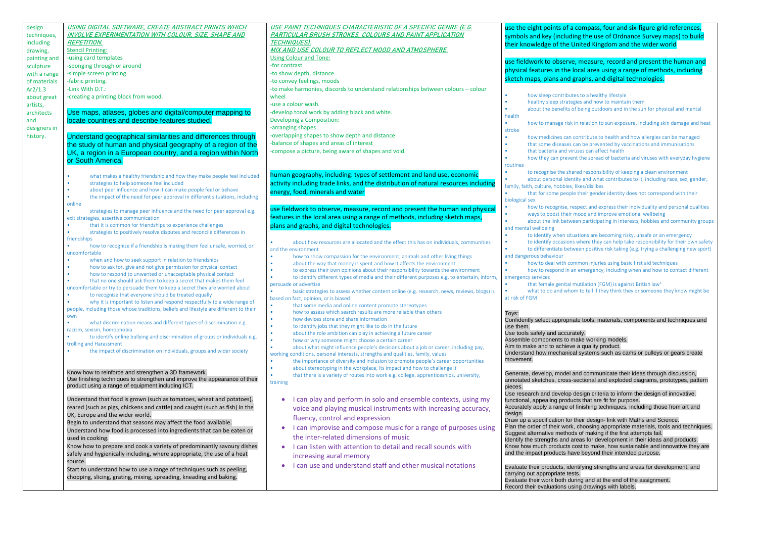| design       | USING DIGITAL SOFTWARE, CREATE ABSTRACT PRINTS WHICH                                                                                                                | USE PAINT TECHNIQUES CHARACTERISTIC OF A SPECIFIC GENRE (E.G.                                                                                                                    | use the eight points of a co                                 |
|--------------|---------------------------------------------------------------------------------------------------------------------------------------------------------------------|----------------------------------------------------------------------------------------------------------------------------------------------------------------------------------|--------------------------------------------------------------|
| techniques,  | INVOLVE EXPERIMENTATION WITH COLOUR, SIZE, SHAPE AND                                                                                                                | <u>PARTICULAR BRUSH STROKES, COLOURS AND PAINT APPLICATION</u>                                                                                                                   | symbols and key (including                                   |
| including    | <b>REPETITION.</b>                                                                                                                                                  | <b>TECHNIQUES).</b>                                                                                                                                                              | their knowledge of the Uni                                   |
| drawing,     | <b>Stencil Printing:</b>                                                                                                                                            | MIX AND USE COLOUR TO REFLECT MOOD AND ATMOSPHERE.                                                                                                                               |                                                              |
| painting and | -using card templates                                                                                                                                               | <b>Using Colour and Tone:</b>                                                                                                                                                    | use fieldwork to observe, r                                  |
| sculpture    | -sponging through or around                                                                                                                                         | -for contrast                                                                                                                                                                    | physical features in the loc                                 |
| with a range | -simple screen printing                                                                                                                                             | -to show depth, distance                                                                                                                                                         | sketch maps, plans and gra                                   |
| of materials | -fabric printing.                                                                                                                                                   | -to convey feelings, moods                                                                                                                                                       |                                                              |
| Ar2/1.3      | -Link With D.T.:                                                                                                                                                    | -to make harmonies, discords to understand relationships between colours - colour                                                                                                |                                                              |
| about great  | -creating a printing block from wood.                                                                                                                               | wheel                                                                                                                                                                            | how sleep contributes<br>healthy sleep strategie             |
| artists,     |                                                                                                                                                                     | -use a colour wash.                                                                                                                                                              | about the benefits of b                                      |
| architects   | Use maps, atlases, globes and digital/computer mapping to                                                                                                           | -develop tonal work by adding black and white.                                                                                                                                   | health                                                       |
| and          | locate countries and describe features studied.                                                                                                                     | Developing a Composition:                                                                                                                                                        | how to manage risk in                                        |
| designers in |                                                                                                                                                                     | -arranging shapes                                                                                                                                                                | stroke                                                       |
| history.     | Understand geographical similarities and differences through                                                                                                        | -overlapping shapes to show depth and distance                                                                                                                                   | how medicines can cor                                        |
|              | the study of human and physical geography of a region of the                                                                                                        | -balance of shapes and areas of interest                                                                                                                                         | that some diseases car<br>that bacteria and virus            |
|              | UK, a region in a European country, and a region within North                                                                                                       | -compose a picture, being aware of shapes and void.                                                                                                                              | how they can prevent                                         |
|              | or South America.                                                                                                                                                   |                                                                                                                                                                                  | routines                                                     |
|              |                                                                                                                                                                     | human geography, including: types of settlement and land use, economic                                                                                                           | to recognise the share                                       |
|              | what makes a healthy friendship and how they make people feel included                                                                                              |                                                                                                                                                                                  | about personal identity                                      |
|              | strategies to help someone feel included<br>about peer influence and how it can make people feel or behave                                                          | activity including trade links, and the distribution of natural resources including                                                                                              | family, faith, culture, hobbies, lik                         |
|              | the impact of the need for peer approval in different situations, including                                                                                         | energy, food, minerals and water                                                                                                                                                 | that for some people tl                                      |
|              | online                                                                                                                                                              |                                                                                                                                                                                  | biological sex                                               |
|              | strategies to manage peer influence and the need for peer approval e.g.                                                                                             | use fieldwork to observe, measure, record and present the human and physical                                                                                                     | how to recognise, resp<br>ways to boost their mo             |
|              | exit strategies, assertive communication                                                                                                                            | features in the local area using a range of methods, including sketch maps,                                                                                                      | about the link betweer                                       |
|              | that it is common for friendships to experience challenges                                                                                                          | plans and graphs, and digital technologies.                                                                                                                                      | and mental wellbeing                                         |
|              | strategies to positively resolve disputes and reconcile differences in                                                                                              |                                                                                                                                                                                  | to identify when situat                                      |
|              | friendships<br>how to recognise if a friendship is making them feel unsafe, worried, or                                                                             | about how resources are allocated and the effect this has on individuals, communities                                                                                            | to identify occasions w                                      |
|              | uncomfortable                                                                                                                                                       | and the environment                                                                                                                                                              | to differentiate betwee                                      |
|              | when and how to seek support in relation to friendships                                                                                                             | how to show compassion for the environment, animals and other living things                                                                                                      | and dangerous behaviour                                      |
|              | how to ask for, give and not give permission for physical contact                                                                                                   | about the way that money is spent and how it affects the environment                                                                                                             | how to deal with comn                                        |
|              | how to respond to unwanted or unacceptable physical contact                                                                                                         | to express their own opinions about their responsibility towards the environment<br>to identify different types of media and their different purposes e.g. to entertain, inform, | how to respond in an e<br>emergency services                 |
|              | that no one should ask them to keep a secret that makes them feel                                                                                                   | persuade or advertise                                                                                                                                                            | that female genital mu                                       |
|              | uncomfortable or try to persuade them to keep a secret they are worried about                                                                                       | basic strategies to assess whether content online (e.g. research, news, reviews, blogs) is                                                                                       | what to do and whom                                          |
|              | to recognise that everyone should be treated equally                                                                                                                | based on fact, opinion, or is biased                                                                                                                                             | at risk of FGM                                               |
|              | why it is important to listen and respond respectfully to a wide range of<br>people, including those whose traditions, beliefs and lifestyle are different to their | that some media and online content promote stereotypes                                                                                                                           |                                                              |
|              | own                                                                                                                                                                 | how to assess which search results are more reliable than others                                                                                                                 | Toys:                                                        |
|              | what discrimination means and different types of discrimination e.g.<br>$\bullet$                                                                                   | how devices store and share information                                                                                                                                          | Confidently select appropriate                               |
|              | racism, sexism, homophobia                                                                                                                                          | to identify jobs that they might like to do in the future<br>٠<br>about the role ambition can play in achieving a future career<br>$\bullet$                                     | use them.<br>Use tools safely and accurate                   |
|              | to identify online bullying and discrimination of groups or individuals e.g.                                                                                        | how or why someone might choose a certain career<br>$\bullet$                                                                                                                    | Assemble components to mal                                   |
|              | trolling and Harassment                                                                                                                                             | about what might influence people's decisions about a job or career, including pay,                                                                                              | Aim to make and to achieve a                                 |
|              | the impact of discrimination on individuals, groups and wider society                                                                                               | working conditions, personal interests, strengths and qualities, family, values                                                                                                  | Understand how mechanical s                                  |
|              |                                                                                                                                                                     | the importance of diversity and inclusion to promote people's career opportunities                                                                                               | movement.                                                    |
|              | Know how to reinforce and strengthen a 3D framework.                                                                                                                | about stereotyping in the workplace, its impact and how to challenge it                                                                                                          |                                                              |
|              | Use finishing techniques to strengthen and improve the appearance of their                                                                                          | that there is a variety of routes into work e.g. college, apprenticeships, university,                                                                                           | Generate, develop, model and<br>annotated sketches, cross-se |
|              | product using a range of equipment including ICT.                                                                                                                   | training                                                                                                                                                                         | pieces.                                                      |
|              |                                                                                                                                                                     |                                                                                                                                                                                  | Use research and develop de                                  |
|              | Understand that food is grown (such as tomatoes, wheat and potatoes),                                                                                               | I can play and perform in solo and ensemble contexts, using my                                                                                                                   | functional, appealing products                               |
|              | reared (such as pigs, chickens and cattle) and caught (such as fish) in the                                                                                         | voice and playing musical instruments with increasing accuracy,                                                                                                                  | Accurately apply a range of fir                              |
|              | UK, Europe and the wider world.                                                                                                                                     | fluency, control and expression                                                                                                                                                  | design.<br>Draw up a specification for the                   |
|              | Begin to understand that seasons may affect the food available.                                                                                                     | I can improvise and compose music for a range of purposes using<br>$\bullet$                                                                                                     | Plan the order of their work, c                              |
|              | Understand how food is processed into ingredients that can be eaten or                                                                                              | the inter-related dimensions of music                                                                                                                                            | Suggest alternative methods                                  |
|              | used in cooking.                                                                                                                                                    |                                                                                                                                                                                  | Identify the strengths and area                              |
|              | Know how to prepare and cook a variety of predominantly savoury dishes                                                                                              | I can listen with attention to detail and recall sounds with                                                                                                                     | Know how much products cos<br>and the impact products have   |
|              | safely and hygienically including, where appropriate, the use of a heat                                                                                             | increasing aural memory                                                                                                                                                          |                                                              |
|              | source.                                                                                                                                                             | I can use and understand staff and other musical notations                                                                                                                       | Evaluate their products, identi                              |
|              | Start to understand how to use a range of techniques such as peeling,<br>chopping, slicing, grating, mixing, spreading, kneading and baking.                        |                                                                                                                                                                                  | carrying out appropriate tests.                              |
|              |                                                                                                                                                                     |                                                                                                                                                                                  | Evaluate their work both durin                               |
|              |                                                                                                                                                                     |                                                                                                                                                                                  | Record their evaluations using                               |

compass, four and six-figure grid references, ing the use of Ordnance Survey maps) to build **Jnited Kingdom and the wider world** 

e, measure, record and present the human and local area using a range of methods, including graphs, and digital technologies.

tes to a healthy lifestyle egies and how to maintain them of being outdoors and in the sun for physical and mental

in relation to sun exposure, including skin damage and heat

- contribute to health and how allergies can be managed can be prevented by vaccinations and immunisations ruses can affect health
- Int the spread of bacteria and viruses with everyday hygiene

ared responsibility of keeping a clean environment herabout and what contributes to it, including race, sex, gender, likes/dislikes

le their gender identity does not correspond with their

espect and express their individuality and personal qualities mood and improve emotional wellbeing een participating in interests, hobbies and community groups

uations are becoming risky, unsafe or an emergency s where they can help take responsibility for their own safety veen positive risk taking (e.g. trying a challenging new sport)

mmon injuries using basic first aid techniques an emergency, including when and how to contact different

mutilation (FGM) is against British law<sup>1</sup> om to tell if they think they or someone they know might be

ate tools, materials, components and techniques and

ately.

nake working models.

e a quality product.

al systems such as cams or pulleys or gears create

and communicate their ideas through discussion, sectional and exploded diagrams, prototypes, pattern

design criteria to inform the design of innovative, icts that are fit for purpose. f finishing techniques, including those from art and

their design- link with Maths and Science. , choosing appropriate materials, tools and techniques. Is of making if the first attempts fail. Ireas for development in their ideas and products. cost to make, how sustainable and innovative they are ave beyond their intended purpose.

entifying strengths and areas for development, and Iring and at the end of the assignment.

sing drawings with labels.